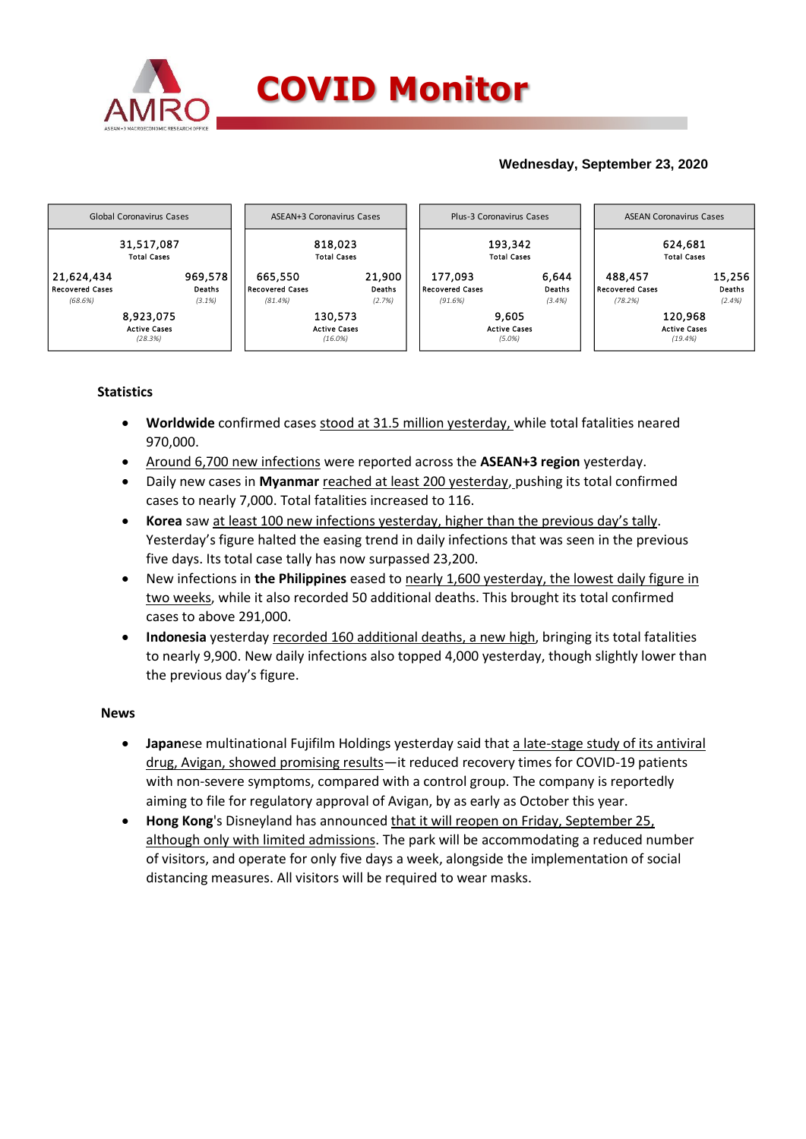

## **Wednesday, September 23, 2020**



## **Statistics**

- **Worldwide** confirmed cases stood at 31.5 million yesterday, while total fatalities neared 970,000.
- Around 6,700 new infections were reported across the **ASEAN+3 region** yesterday.
- Daily new cases in **Myanmar** reached at least 200 yesterday, pushing its total confirmed cases to nearly 7,000. Total fatalities increased to 116.
- **Korea** saw at least 100 new infections yesterday, higher than the previous day's tally. Yesterday's figure halted the easing trend in daily infections that was seen in the previous five days. Its total case tally has now surpassed 23,200.
- New infections in **the Philippines** eased to nearly 1,600 yesterday, the lowest daily figure in two weeks, while it also recorded 50 additional deaths. This brought its total confirmed cases to above 291,000.
- **Indonesia** yesterday recorded 160 additional deaths, a new high, bringing its total fatalities to nearly 9,900. New daily infections also topped 4,000 yesterday, though slightly lower than the previous day's figure.

## **News**

- **Japan**ese multinational Fujifilm Holdings yesterday said that a late-stage study of its antiviral drug, Avigan, showed promising results—it reduced recovery times for COVID-19 patients with non-severe symptoms, compared with a control group. The company is reportedly aiming to file for regulatory approval of Avigan, by as early as October this year.
- **Hong Kong**'s Disneyland has announced that it will reopen on Friday, September 25, although only with limited admissions. The park will be accommodating a reduced number of visitors, and operate for only five days a week, alongside the implementation of social distancing measures. All visitors will be required to wear masks.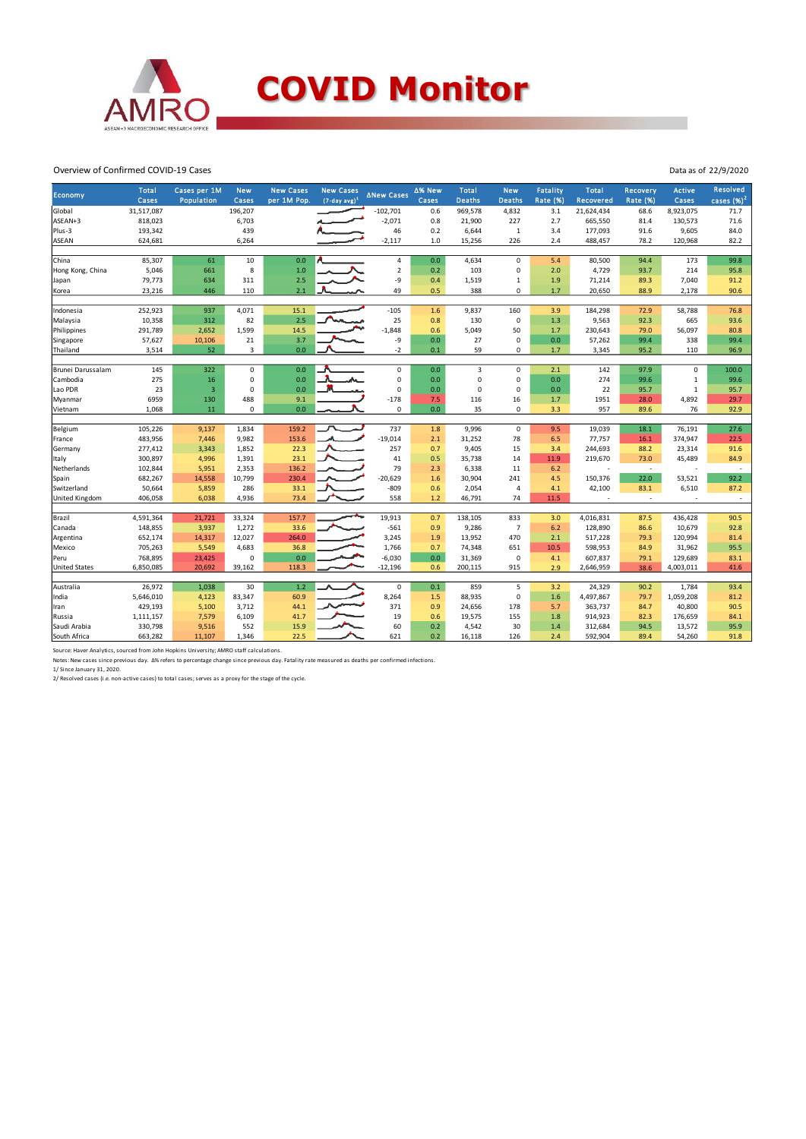

Overview of Confirmed COVID-19 Cases

| Economy              | <b>Total</b><br>Cases | Cases per 1M<br>Population | <b>New</b><br>Cases | <b>New Cases</b><br>per 1M Pop. | <b>New Cases</b><br>$(7-day, avg)^1$ | <b>ANew Cases</b> | ∆% New<br>Cases | <b>Total</b><br><b>Deaths</b> | <b>New</b><br><b>Deaths</b> | <b>Fatality</b><br><b>Rate (%)</b> | <b>Total</b><br>Recovered | Recovery<br><b>Rate (%)</b> | <b>Active</b><br>Cases | <b>Resolved</b><br>cases $(\%)^2$ |
|----------------------|-----------------------|----------------------------|---------------------|---------------------------------|--------------------------------------|-------------------|-----------------|-------------------------------|-----------------------------|------------------------------------|---------------------------|-----------------------------|------------------------|-----------------------------------|
| Global               | 31,517,087            |                            | 196,207             |                                 |                                      | $-102,701$        | 0.6             | 969,578                       | 4,832                       | 3.1                                | 21,624,434                | 68.6                        | 8,923,075              | 71.7                              |
| ASEAN+3              | 818,023               |                            | 6,703               |                                 |                                      | $-2,071$          | 0.8             | 21,900                        | 227                         | 2.7                                | 665,550                   | 81.4                        | 130,573                | 71.6                              |
| Plus-3               | 193,342               |                            | 439                 |                                 |                                      | 46                | 0.2             | 6,644                         | $\mathbf{1}$                | 3.4                                | 177,093                   | 91.6                        | 9,605                  | 84.0                              |
| <b>ASEAN</b>         | 624,681               |                            | 6,264               |                                 |                                      | $-2,117$          | 1.0             | 15,256                        | 226                         | 2.4                                | 488,457                   | 78.2                        | 120,968                | 82.2                              |
|                      |                       |                            |                     |                                 |                                      |                   |                 |                               |                             |                                    |                           |                             |                        |                                   |
| China                | 85,307                | 61                         | 10                  | 0.0                             |                                      | 4                 | 0.0             | 4,634                         | $\mathbf 0$                 | 5.4                                | 80,500                    | 94.4                        | 173                    | 99.8                              |
| Hong Kong, China     | 5,046                 | 661                        | 8                   | 1.0                             |                                      | $\overline{2}$    | 0.2             | 103                           | $\mathbf 0$                 | 2.0                                | 4,729                     | 93.7                        | 214                    | 95.8                              |
| Japan                | 79,773                | 634                        | 311                 | 2.5                             |                                      | -9                | 0.4             | 1,519                         | $\mathbf 1$                 | 1.9                                | 71,214                    | 89.3                        | 7,040                  | 91.2                              |
| Korea                | 23,216                | 446                        | 110                 | 2.1                             |                                      | 49                | 0.5             | 388                           | 0                           | 1.7                                | 20,650                    | 88.9                        | 2,178                  | 90.6                              |
|                      |                       |                            |                     |                                 |                                      |                   |                 |                               |                             |                                    |                           |                             |                        |                                   |
| Indonesia            | 252,923               | 937                        | 4,071               | 15.1                            |                                      | $-105$            | 1.6             | 9,837                         | 160                         | 3.9                                | 184,298                   | 72.9                        | 58,788                 | 76.8                              |
| Malaysia             | 10,358                | 312                        | 82                  | 2.5                             |                                      | 25                | 0.8             | 130                           | $\Omega$                    | 1.3                                | 9,563                     | 92.3                        | 665                    | 93.6                              |
| Philippines          | 291,789               | 2,652                      | 1,599               | 14.5                            |                                      | $-1,848$          | 0.6             | 5,049                         | 50                          | 1.7                                | 230,643                   | 79.0                        | 56,097                 | 80.8                              |
| Singapore            | 57,627                | 10,106                     | $21\,$              | 3.7                             |                                      | -9                | 0.0             | 27                            | $\mathbf 0$                 | 0.0                                | 57,262                    | 99.4                        | 338                    | 99.4                              |
| Thailand             | 3,514                 | 52                         | 3                   | 0.0                             |                                      | $-2$              | 0.1             | 59                            | $\mathbf 0$                 | $1.7\,$                            | 3,345                     | 95.2                        | 110                    | 96.9                              |
|                      |                       |                            |                     |                                 |                                      |                   |                 |                               |                             |                                    |                           |                             |                        |                                   |
| Brunei Darussalam    | 145                   | 322                        | 0                   | 0.0                             |                                      | $\mathbf 0$       | 0.0             | 3                             | $\mathbf 0$                 | 2.1                                | 142                       | 97.9                        | $\Omega$               | 100.0                             |
| Cambodia             | 275                   | 16                         | 0                   | 0.0                             |                                      | $\mathbf 0$       | 0.0             | 0                             | $\mathbf 0$                 | 0.0                                | 274                       | 99.6                        | $\,1\,$                | 99.6                              |
| Lao PDR              | 23                    | $\overline{3}$             | 0                   | 0.0                             |                                      | $\mathbf 0$       | 0.0             | $\mathsf 0$                   | $\mathbf 0$                 | $0.0\,$                            | 22                        | 95.7                        | $\,1\,$                | 95.7                              |
| Myanmar              | 6959                  | 130                        | 488                 | 9.1                             |                                      | $-178$            | 7.5             | 116                           | 16                          | 1.7                                | 1951                      | 28.0                        | 4,892                  | 29.7                              |
| Vietnam              | 1,068                 | 11                         | 0                   | 0.0                             |                                      | 0                 | 0.0             | 35                            | $\mathbf 0$                 | 3.3                                | 957                       | 89.6                        | 76                     | 92.9                              |
| Belgium              | 105,226               | 9,137                      | 1,834               | 159.2                           |                                      | 737               | 1.8             | 9,996                         | $\mathbf 0$                 | 9.5                                | 19,039                    | 18.1                        | 76,191                 | 27.6                              |
| France               | 483,956               | 7,446                      | 9,982               | 153.6                           |                                      | $-19,014$         | 2.1             | 31,252                        | 78                          | 6.5                                | 77,757                    | 16.1                        | 374,947                | 22.5                              |
| Germany              | 277,412               | 3,343                      | 1,852               | 22.3                            |                                      | 257               | 0.7             | 9,405                         | 15                          | 3.4                                | 244,693                   | 88.2                        | 23,314                 | 91.6                              |
|                      | 300,897               | 4,996                      | 1,391               | 23.1                            |                                      | 41                | 0.5             | 35,738                        | 14                          | 11.9                               | 219,670                   | 73.0                        | 45,489                 | 84.9                              |
| Italy<br>Netherlands | 102,844               |                            | 2,353               | 136.2                           |                                      | 79                | 2.3             | 6,338                         | 11                          | 6.2                                | ÷                         | $\sim$                      |                        | $\overline{\phantom{a}}$          |
|                      |                       | 5,951                      |                     | 230.4                           |                                      | $-20,629$         |                 | 30,904                        |                             |                                    |                           | 22.0                        | 53,521                 | 92.2                              |
| Spain<br>Switzerland | 682,267<br>50,664     | 14,558                     | 10,799<br>286       | 33.1                            |                                      | $-809$            | 1.6<br>0.6      | 2,054                         | 241<br>$\overline{4}$       | 4.5<br>4.1                         | 150,376                   | 83.1                        | 6,510                  | 87.2                              |
|                      |                       | 5,859                      |                     |                                 |                                      |                   |                 |                               |                             |                                    | 42,100                    | $\overline{\phantom{a}}$    |                        |                                   |
| United Kingdom       | 406,058               | 6,038                      | 4,936               | 73.4                            |                                      | 558               | 1.2             | 46,791                        | 74                          | 11.5                               |                           |                             |                        | $\overline{\phantom{a}}$          |
| Brazil               | 4,591,364             | 21,721                     | 33,324              | 157.7                           |                                      | 19,913            | 0.7             | 138,105                       | 833                         | 3.0                                | 4,016,831                 | 87.5                        | 436,428                | 90.5                              |
| Canada               | 148,855               | 3,937                      | 1,272               | 33.6                            |                                      | $-561$            | 0.9             | 9,286                         | $\overline{7}$              | 6.2                                | 128,890                   | 86.6                        | 10,679                 | 92.8                              |
| Argentina            | 652,174               | 14,317                     | 12,027              | 264.0                           |                                      | 3,245             | 1.9             | 13,952                        | 470                         | 2.1                                | 517,228                   | 79.3                        | 120,994                | 81.4                              |
| Mexico               | 705,263               | 5,549                      | 4,683               | 36.8                            |                                      | 1,766             | 0.7             | 74,348                        | 651                         | 10.5                               | 598,953                   | 84.9                        | 31,962                 | 95.5                              |
| Peru                 | 768,895               | 23,425                     | 0                   | 0.0                             |                                      | $-6,030$          | 0.0             | 31,369                        | $\mathbf 0$                 | 4.1                                | 607,837                   | 79.1                        | 129,689                | 83.1                              |
| <b>United States</b> | 6,850,085             | 20,692                     | 39,162              | 118.3                           |                                      | $-12,196$         | 0.6             | 200,115                       | 915                         | 2.9                                | 2,646,959                 | 38.6                        | 4,003,011              | 41.6                              |
|                      |                       |                            |                     |                                 |                                      |                   |                 |                               |                             |                                    |                           |                             |                        |                                   |
| Australia            | 26,972                | 1,038                      | 30                  | 1.2                             |                                      | $\mathbf 0$       | 0.1             | 859                           | 5                           | 3.2                                | 24,329                    | 90.2                        | 1,784                  | 93.4                              |
| India                | 5,646,010             | 4,123                      | 83,347              | 60.9                            |                                      | 8,264             | 1.5             | 88,935                        | $\mathbf 0$                 | 1.6                                | 4,497,867                 | 79.7                        | 1,059,208              | 81.2                              |
| ran                  | 429,193               | 5,100                      | 3,712               | 44.1                            |                                      | 371               | 0.9             | 24,656                        | 178                         | 5.7                                | 363,737                   | 84.7                        | 40,800                 | 90.5                              |
| Russia               | 1,111,157             | 7,579                      | 6,109               | 41.7                            |                                      | 19                | 0.6             | 19,575                        | 155                         | 1.8                                | 914,923                   | 82.3                        | 176,659                | 84.1                              |
| Saudi Arabia         | 330,798               | 9,516                      | 552                 | 15.9                            |                                      | 60                | 0.2             | 4,542                         | 30                          | 1.4                                | 312,684                   | 94.5                        | 13,572                 | 95.9                              |
| South Africa         | 663,282               | 11,107                     | 1,346               | 22.5                            |                                      | 621               | 0.2             | 16,118                        | 126                         | 2.4                                | 592,904                   | 89.4                        | 54,260                 | 91.8                              |
|                      |                       |                            |                     |                                 |                                      |                   |                 |                               |                             |                                    |                           |                             |                        |                                   |

Source: Haver Analytics, sourced from John Hopkins University; AMRO staff calculations.<br>Notas: New cases since previous day. Δ% refers to percentage change since previous day. Fatality rate measured as deaths per confirmed

Data as of 22/9/2020